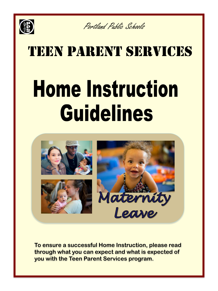

Portland Public Schools

## TEEN PARENT SERVICES **Home Instruction Guidelines**



**To ensure a successful Home Instruction, please read through what you can expect and what is expected of you with the Teen Parent Services program.**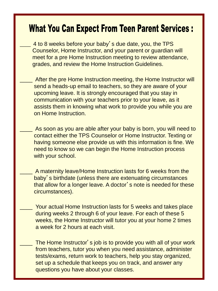## **What You Can Expect From Teen Parent Services:**

- 4 to 8 weeks before your baby's due date, you, the TPS Counselor, Home Instructor, and your parent or guardian will meet for a pre Home Instruction meeting to review attendance, grades, and review the Home Instruction Guidelines.
- After the pre Home Instruction meeting, the Home Instructor will send a heads-up email to teachers, so they are aware of your upcoming leave. It is strongly encouraged that you stay in communication with your teachers prior to your leave, as it assists them in knowing what work to provide you while you are on Home Instruction.
- As soon as you are able after your baby is born, you will need to contact either the TPS Counselor or Home Instructor. Texting or having someone else provide us with this information is fine. We need to know so we can begin the Home Instruction process with your school.
- A maternity leave/Home Instruction lasts for 6 weeks from the baby's birthdate (unless there are extenuating circumstances that allow for a longer leave. A doctor's note is needed for these circumstances).
	- Your actual Home Instruction lasts for 5 weeks and takes place during weeks 2 through 6 of your leave. For each of these 5 weeks, the Home Instructor will tutor you at your home 2 times a week for 2 hours at each visit.
	- The Home Instructor's job is to provide you with all of your work from teachers, tutor you when you need assistance, administer tests/exams, return work to teachers, help you stay organized, set up a schedule that keeps you on track, and answer any questions you have about your classes.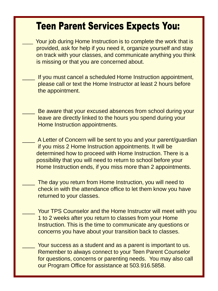## **Teen Parent Services Expects You:**

- Your job during Home Instruction is to complete the work that is provided, ask for help if you need it, organize yourself and stay on track with your classes, and communicate anything you think is missing or that you are concerned about.
- If you must cancel a scheduled Home Instruction appointment, please call or text the Home Instructor at least 2 hours before the appointment.
	- Be aware that your excused absences from school during your leave are directly linked to the hours you spend during your Home Instruction appointments.
- A Letter of Concern will be sent to you and your parent/guardian if you miss 2 Home Instruction appointments. It will be determined how to proceed with Home Instruction. There is a possibility that you will need to return to school before your Home Instruction ends, if you miss more than 2 appointments.
	- The day you return from Home Instruction, you will need to check in with the attendance office to let them know you have returned to your classes.
	- Your TPS Counselor and the Home Instructor will meet with you 1 to 2 weeks after you return to classes from your Home Instruction. This is the time to communicate any questions or concerns you have about your transition back to classes.
		- Your success as a student and as a parent is important to us. Remember to always connect to your Teen Parent Counselor for questions, concerns or parenting needs. You may also call our Program Office for assistance at 503.916.5858.